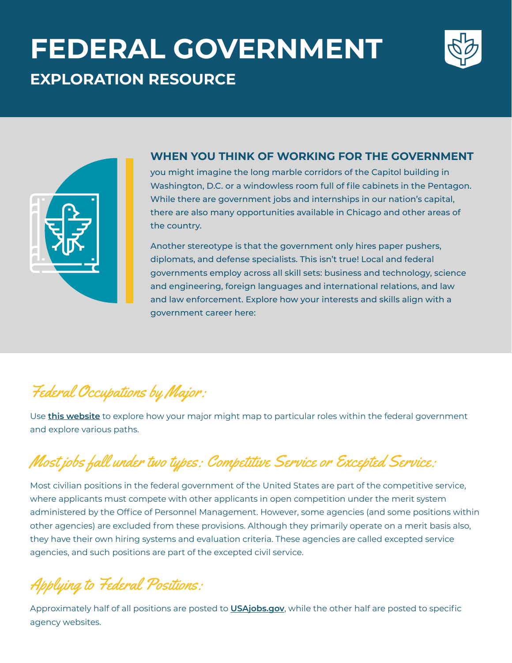# **FEDERAL GOVERNMENT EXPLORATION RESOURCE**





### **WHEN YOU THINK OF WORKING FOR THE GOVERNMENT**

you might imagine the long marble corridors of the Capitol building in Washington, D.C. or a windowless room full of file cabinets in the Pentagon. While there are government jobs and internships in our nation's capital, there are also many opportunities available in Chicago and other areas of the country.

Another stereotype is that the government only hires paper pushers, diplomats, and defense specialists. This isn't true! Local and federal governments employ across all skill sets: business and technology, science and engineering, foreign languages and international relations, and law and law enforcement. Explore how your interests and skills align with a government career here:

### Federal Occupations by Major:

Use **this website** to explore how your major might map to particular roles within the federal government and explore various paths.

# Most jobs fall under two types: Competitive Service or Excepted Service:

Most civilian positions in the federal government of the United States are part of the competitive service, where applicants must compete with other applicants in open competition under the merit system administered by the Office of Personnel Management. However, some agencies (and some positions within other agencies) are excluded from these provisions. Although they primarily operate on a merit basis also, they have their own hiring systems and evaluation criteria. These agencies are called excepted service agencies, and such positions are part of the excepted civil service.

Applying to Federal Positions:

Approximately half of all positions are posted to **USAjobs.gov**, while the other half are posted to specific agency websites.